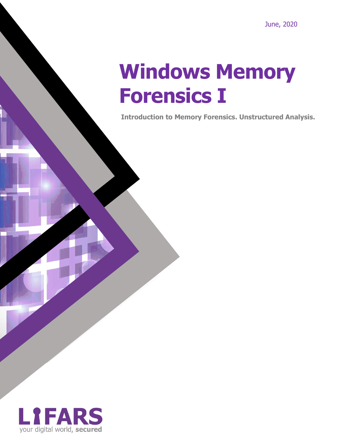# **Windows Memory Forensics I**

**Introduction to Memory Forensics. Unstructured Analysis.**

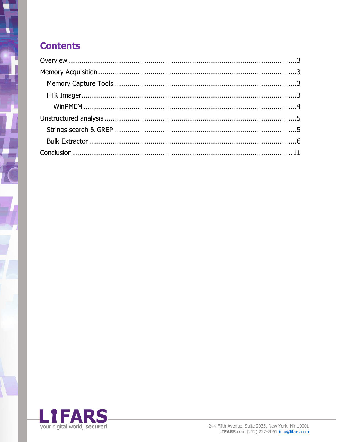### **Contents**

 $\sqrt{\frac{2}{\pi}}$ 

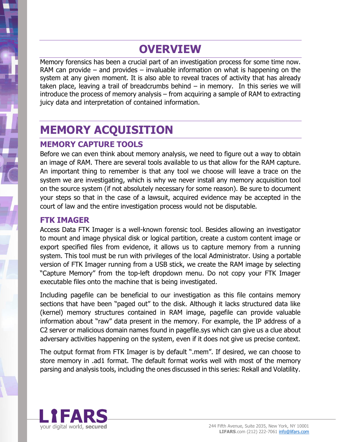### **OVERVIEW**

<span id="page-2-0"></span>Memory forensics has been a crucial part of an investigation process for some time now. RAM can provide – and provides – invaluable information on what is happening on the system at any given moment. It is also able to reveal traces of activity that has already taken place, leaving a trail of breadcrumbs behind – in memory. In this series we will introduce the process of memory analysis – from acquiring a sample of RAM to extracting juicy data and interpretation of contained information.

## <span id="page-2-1"></span>**MEMORY ACQUISITION**

#### <span id="page-2-2"></span>**MEMORY CAPTURE TOOLS**

Before we can even think about memory analysis, we need to figure out a way to obtain an image of RAM. There are several tools available to us that allow for the RAM capture. An important thing to remember is that any tool we choose will leave a trace on the system we are investigating, which is why we never install any memory acquisition tool on the source system (if not absolutely necessary for some reason). Be sure to document your steps so that in the case of a lawsuit, acquired evidence may be accepted in the court of law and the entire investigation process would not be disputable.

#### <span id="page-2-3"></span>**FTK IMAGER**

Access Data FTK Imager is a well-known forensic tool. Besides allowing an investigator to mount and image physical disk or logical partition, create a custom content image or export specified files from evidence, it allows us to capture memory from a running system. This tool must be run with privileges of the local Administrator. Using a portable version of FTK Imager running from a USB stick, we create the RAM image by selecting "Capture Memory" from the top-left dropdown menu. Do not copy your FTK Imager executable files onto the machine that is being investigated.

Including pagefile can be beneficial to our investigation as this file contains memory sections that have been "paged out" to the disk. Although it lacks structured data like (kernel) memory structures contained in RAM image, pagefile can provide valuable information about "raw" data present in the memory. For example, the IP address of a C2 server or malicious domain names found in pagefile.sys which can give us a clue about adversary activities happening on the system, even if it does not give us precise context.

The output format from FTK Imager is by default ".mem". If desired, we can choose to store memory in .ad1 format. The default format works well with most of the memory parsing and analysis tools, including the ones discussed in this series: Rekall and Volatility.

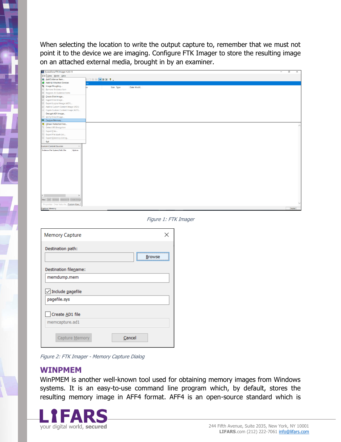When selecting the location to write the output capture to, remember that we must not point it to the device we are imaging. Configure FTK Imager to store the resulting image on an attached external media, brought in by an examiner.

| 42 AccessData FTK Imager 4.2.0.13                      |                            |           |            |                                  |  |  | $\sigma$ | $\overline{\mathsf{x}}$ |
|--------------------------------------------------------|----------------------------|-----------|------------|----------------------------------|--|--|----------|-------------------------|
| File View Mode Help                                    |                            |           |            |                                  |  |  |          |                         |
| Add Evidence Item                                      | . 12556 <mark>+</mark> 880 |           |            |                                  |  |  |          |                         |
| Add All Attached Devices                               |                            |           |            |                                  |  |  |          |                         |
| <b>Q</b> Image Mounting                                |                            | Size Type | Date Modif |                                  |  |  |          |                         |
| Remove Evidence Item<br>Remove All Evidence Items      |                            |           |            |                                  |  |  |          |                         |
| Create Disk Image                                      |                            |           |            |                                  |  |  |          |                         |
| E Export Disk Image                                    |                            |           |            |                                  |  |  |          |                         |
| El Export Logical Image (AD1)                          |                            |           |            |                                  |  |  |          |                         |
| Add to Custom Content Image (AD1)                      |                            |           |            |                                  |  |  |          |                         |
| Create Custom Content Image (AD1)                      |                            |           |            |                                  |  |  |          |                         |
| Decrypt AD1 image                                      |                            |           |            |                                  |  |  |          |                         |
| Verify Drive/Image                                     |                            |           |            |                                  |  |  |          |                         |
| Capture Memory                                         |                            |           |            |                                  |  |  |          |                         |
| <b>D</b> Obtain Protected Files                        |                            |           |            |                                  |  |  |          |                         |
| <sup>9</sup> Detect EFS Encryption                     |                            |           |            |                                  |  |  |          |                         |
| Export Files                                           |                            |           |            |                                  |  |  |          |                         |
| E Export File Hash List                                |                            |           |            |                                  |  |  |          |                         |
| Export Directory Listing                               |                            |           |            |                                  |  |  |          |                         |
| Exit                                                   |                            |           |            |                                  |  |  |          |                         |
| <b>Custom Content Sources</b>                          |                            |           |            |                                  |  |  |          |                         |
| Evidence:File System Path File<br>Options<br>$\langle$ |                            |           |            |                                  |  |  |          |                         |
| New Edit Remove Remove All Create Image                |                            |           |            |                                  |  |  |          |                         |
| Properties   Hex Value In Custom Con                   |                            |           |            |                                  |  |  |          |                         |
| Capture Memory                                         |                            |           |            |                                  |  |  |          | NUM                     |
| <b>Memory Capture</b>                                  |                            |           |            | Figure 1: FTK Imager<br>$\times$ |  |  |          |                         |
| Destination path:                                      |                            |           |            |                                  |  |  |          |                         |
|                                                        |                            |           |            | Browse                           |  |  |          |                         |
| Destination filename:<br>memdump.mem                   |                            |           |            |                                  |  |  |          |                         |
|                                                        |                            |           |            |                                  |  |  |          |                         |
| $\boxed{\smile}$ Include pagefile                      |                            |           |            |                                  |  |  |          |                         |
| pagefile.sys                                           |                            |           |            |                                  |  |  |          |                         |
| Create AD1 file                                        |                            |           |            |                                  |  |  |          |                         |
| memcapture.ad1                                         |                            |           |            |                                  |  |  |          |                         |
| Capture Memory                                         |                            |           | Cancel     |                                  |  |  |          |                         |

Figure 2: FTK Imager - Memory Capture Dialog

#### <span id="page-3-0"></span>**WINPMEM**

WinPMEM is another well-known tool used for obtaining memory images from Windows systems. It is an easy-to-use command line program which, by default, stores the resulting memory image in AFF4 format. AFF4 is an open-source standard which is

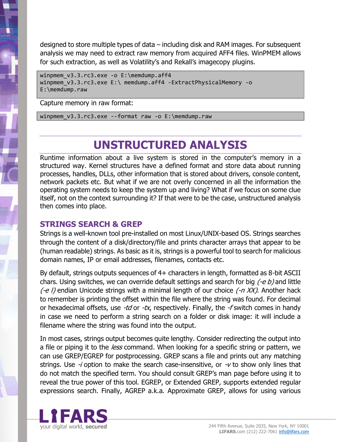designed to store multiple types of data – including disk and RAM images. For subsequent analysis we may need to extract raw memory from acquired AFF4 files. WinPMEM allows for such extraction, as well as Volatility's and Rekall's imagecopy plugins.

```
winpmem v3.3.rc3.exe -o E:\memdump.aff4
winpmem_v3.3.rc3.exe E:\ memdump.aff4 -ExtractPhysicalMemory -o 
E:\memdump.raw
```
Capture memory in raw format:

winpmem v3.3.rc3.exe --format raw -o E:\memdump.raw

### **UNSTRUCTURED ANALYSIS**

<span id="page-4-0"></span>Runtime information about a live system is stored in the computer's memory in a structured way. Kernel structures have a defined format and store data about running processes, handles, DLLs, other information that is stored about drivers, console content, network packets etc. But what if we are not overly concerned in all the information the operating system needs to keep the system up and living? What if we focus on some clue itself, not on the context surrounding it? If that were to be the case, unstructured analysis then comes into place.

#### <span id="page-4-1"></span>**STRINGS SEARCH & GREP**

Strings is a well-known tool pre-installed on most Linux/UNIX-based OS. Strings searches through the content of a disk/directory/file and prints character arrays that appear to be (human readable) strings. As basic as it is, strings is a powerful tool to search for malicious domain names, IP or email addresses, filenames, contacts etc.

By default, strings outputs sequences of 4+ characters in length, formatted as 8-bit ASCII chars. Using switches, we can override default settings and search for big  $(-e b)$  and little  $(-e)$  endian Unicode strings with a minimal length of our choice  $(-n XX)$ . Another hack to remember is printing the offset within the file where the string was found. For decimal or hexadecimal offsets, use  $-td$  or  $-tx$ , respectively. Finally, the  $-ts$  switch comes in handy in case we need to perform a string search on a folder or disk image: it will include a filename where the string was found into the output.

In most cases, strings output becomes quite lengthy. Consider redirecting the output into a file or piping it to the *less* command. When looking for a specific string or pattern, we can use GREP/EGREP for postprocessing. GREP scans a file and prints out any matching strings. Use  $-i$  option to make the search case-insensitive, or  $-i$  to show only lines that do not match the specified term. You should consult GREP's man page before using it to reveal the true power of this tool. EGREP, or Extended GREP, supports extended regular expressions search. Finally, AGREP a.k.a. Approximate GREP, allows for using various

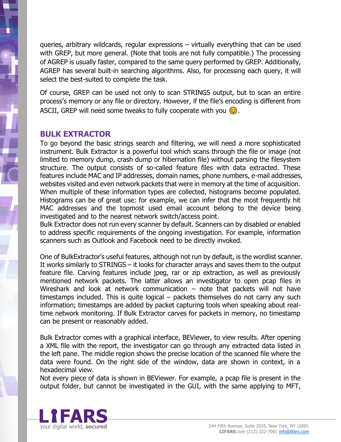queries, arbitrary wildcards, regular expressions – virtually everything that can be used with GREP, but more general. (Note that tools are not fully compatible.) The processing of AGREP is usually faster, compared to the same query performed by GREP. Additionally, AGREP has several built-in searching algorithms. Also, for processing each query, it will select the best-suited to complete the task.

Of course, GREP can be used not only to scan STRINGS output, but to scan an entire process's memory or any file or directory. However, if the file's encoding is different from ASCII, GREP will need some tweaks to fully cooperate with you  $\odot$ .

#### <span id="page-5-0"></span>**BULK EXTRACTOR**

To go beyond the basic strings search and filtering, we will need a more sophisticated instrument. Bulk Extractor is a powerful tool which scans through the file or image (not limited to memory dump, crash dump or hibernation file) without parsing the filesystem structure. The output consists of so-called feature files with data extracted. These features include MAC and IP addresses, domain names, phone numbers, e-mail addresses, websites visited and even network packets that were in memory at the time of acquisition. When multiple of these information types are collected, histograms become populated. Histograms can be of great use: for example, we can infer that the most frequently hit MAC addresses and the topmost used email account belong to the device being investigated and to the nearest network switch/access point.

Bulk Extractor does not run every scanner by default. Scanners can by disabled or enabled to address specific requirements of the ongoing investigation. For example, information scanners such as Outlook and Facebook need to be directly invoked.

One of BulkExtractor's useful features, although not run by default, is the wordlist scanner. It works similarly to STRINGS – it looks for character arrays and saves them to the output feature file. Carving features include jpeg, rar or zip extraction, as well as previously mentioned network packets. The latter allows an investigator to open pcap files in Wireshark and look at network communication – note that packets will not have timestamps included. This is quite logical – packets themselves do not carry any such information; timestamps are added by packet capturing tools when speaking about realtime network monitoring. If Bulk Extractor carves for packets in memory, no timestamp can be present or reasonably added.

Bulk Extractor comes with a graphical interface, BEViewer, to view results. After opening a XML file with the report, the investigator can go through any extracted data listed in the left pane. The middle region shows the precise location of the scanned file where the data were found. On the right side of the window, data are shown in context, in a hexadecimal view.

Not every piece of data is shown in BEViewer. For example, a pcap file is present in the output folder, but cannot be investigated in the GUI, with the same applying to MFT,

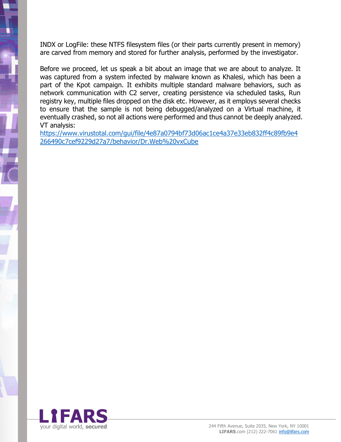INDX or LogFile: these NTFS filesystem files (or their parts currently present in memory) are carved from memory and stored for further analysis, performed by the investigator.

Before we proceed, let us speak a bit about an image that we are about to analyze. It was captured from a system infected by malware known as Khalesi, which has been a part of the Kpot campaign. It exhibits multiple standard malware behaviors, such as network communication with C2 server, creating persistence via scheduled tasks, Run registry key, multiple files dropped on the disk etc. However, as it employs several checks to ensure that the sample is not being debugged/analyzed on a Virtual machine, it eventually crashed, so not all actions were performed and thus cannot be deeply analyzed. VT analysis:

[https://www.virustotal.com/gui/file/4e87a0794bf73d06ac1ce4a37e33eb832ff4c89fb9e4](https://www.virustotal.com/gui/file/4e87a0794bf73d06ac1ce4a37e33eb832ff4c89fb9e4266490c7cef9229d27a7/behavior/Dr.Web%20vxCube) [266490c7cef9229d27a7/behavior/Dr.Web%20vxCube](https://www.virustotal.com/gui/file/4e87a0794bf73d06ac1ce4a37e33eb832ff4c89fb9e4266490c7cef9229d27a7/behavior/Dr.Web%20vxCube)

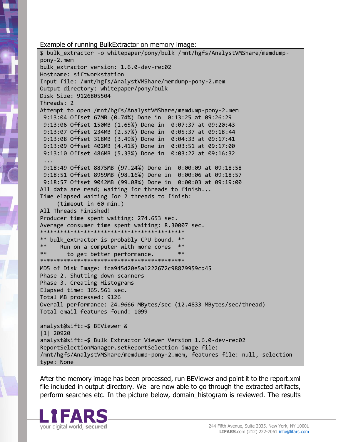Example of running BulkExtractor on memory image:

\$ bulk\_extractor -o whitepaper/pony/bulk /mnt/hgfs/AnalystVMShare/memdumppony-2.mem bulk extractor version: 1.6.0-dev-rec02 Hostname: siftworkstation Input file: /mnt/hgfs/AnalystVMShare/memdump-pony-2.mem Output directory: whitepaper/pony/bulk Disk Size: 9126805504 Threads: 2 Attempt to open /mnt/hgfs/AnalystVMShare/memdump-pony-2.mem 9:13:04 Offset 67MB (0.74%) Done in 0:13:25 at 09:26:29 9:13:06 Offset 150MB (1.65%) Done in 0:07:37 at 09:20:43 9:13:07 Offset 234MB (2.57%) Done in 0:05:37 at 09:18:44 9:13:08 Offset 318MB (3.49%) Done in 0:04:33 at 09:17:41 9:13:09 Offset 402MB (4.41%) Done in 0:03:51 at 09:17:00 9:13:10 Offset 486MB (5.33%) Done in 0:03:22 at 09:16:32 ... 9:18:49 Offset 8875MB (97.24%) Done in 0:00:09 at 09:18:58 9:18:51 Offset 8959MB (98.16%) Done in 0:00:06 at 09:18:57 9:18:57 Offset 9042MB (99.08%) Done in 0:00:03 at 09:19:00 All data are read; waiting for threads to finish... Time elapsed waiting for 2 threads to finish: (timeout in 60 min.) All Threads Finished! Producer time spent waiting: 274.653 sec. Average consumer time spent waiting: 8.30007 sec. \*\*\*\*\*\*\*\*\*\*\*\*\*\*\*\*\*\*\*\*\*\*\*\*\*\*\*\*\*\*\*\*\*\*\*\*\*\*\*\*\*\*\* \*\* bulk\_extractor is probably CPU bound. \*\* \*\* Run on a computer with more cores \*\* to get better performance. \*\*\*\*\*\*\*\*\*\*\*\*\*\*\*\*\*\*\*\*\*\*\*\*\*\*\*\*\*\*\*\*\*\*\*\*\*\*\*\*\*\*\* MD5 of Disk Image: fca945d20e5a1222672c98879959cd45 Phase 2. Shutting down scanners Phase 3. Creating Histograms Elapsed time: 365.561 sec. Total MB processed: 9126 Overall performance: 24.9666 MBytes/sec (12.4833 MBytes/sec/thread) Total email features found: 1099 analyst@sift:~\$ BEViewer & [1] 20920 analyst@sift:~\$ Bulk Extractor Viewer Version 1.6.0-dev-rec02 ReportSelectionManager.setReportSelection image file: /mnt/hgfs/AnalystVMShare/memdump-pony-2.mem, features file: null, selection type: None

After the memory image has been processed, run BEViewer and point it to the report.xml file included in output directory. We are now able to go through the extracted artifacts, perform searches etc. In the picture below, domain\_histogram is reviewed. The results

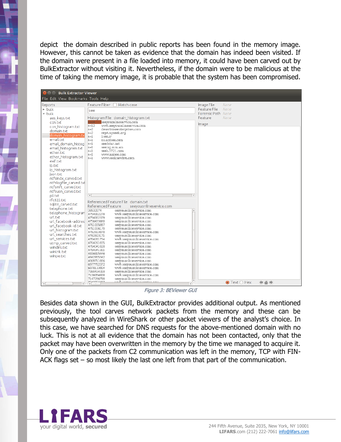depict the domain described in public reports has been found in the memory image. However, this cannot be taken as evidence that the domain has indeed been visited. If the domain were present in a file loaded into memory, it could have been carved out by BulkExtractor without visiting it. Nevertheless, if the domain were to be malicious at the time of taking the memory image, it is probable that the system has been compromised.

| <b>8</b> $\oplus$ Bulk Extractor Viewer  |                                                                                    |                                            |  |  |  |  |  |  |  |
|------------------------------------------|------------------------------------------------------------------------------------|--------------------------------------------|--|--|--|--|--|--|--|
| File Edit View Bookmarks Tools Help      |                                                                                    |                                            |  |  |  |  |  |  |  |
| Reports<br>$\triangleright$ bulk         | Feature Filter □ Match case                                                        | Image File<br>None<br>Feature File<br>None |  |  |  |  |  |  |  |
| v bulk                                   | see                                                                                | Forensic Path None                         |  |  |  |  |  |  |  |
| aes keys.txt                             | Histogram File domain histogram.txt                                                | Feature<br>None                            |  |  |  |  |  |  |  |
| ccn.txt                                  | seeyouonlineservice.com<br>ww9.seevouonlineservice.com<br>$n = 12$                 | Image                                      |  |  |  |  |  |  |  |
| ccn histogram.txt<br>domain.txt          | desertroseenterprises.com<br>$n=2$                                                 |                                            |  |  |  |  |  |  |  |
| domain histogram.tx                      | $n=2$<br>rep4.upseek.org<br>$n=1$<br>1see.ir                                       |                                            |  |  |  |  |  |  |  |
| email.txt                                | ns.acdsee.com<br>$n=1$                                                             |                                            |  |  |  |  |  |  |  |
| email domain histog                      | seedstar.net<br>$n=1$                                                              |                                            |  |  |  |  |  |  |  |
| email histogram.txt                      | $n=1$<br>seeing.mm.am<br>seek.3721.com<br>$n=1$                                    |                                            |  |  |  |  |  |  |  |
| ether.txt<br>ether histogram.txt         | $n=1$<br>www.naisee.com                                                            |                                            |  |  |  |  |  |  |  |
| exif.txt                                 | $n=1$<br>www.seeknewlive.com                                                       |                                            |  |  |  |  |  |  |  |
| ip.txt                                   |                                                                                    |                                            |  |  |  |  |  |  |  |
| ip histogram.txt                         |                                                                                    |                                            |  |  |  |  |  |  |  |
| ison.txt<br>ntfsindx carved.txt          |                                                                                    |                                            |  |  |  |  |  |  |  |
| ntfslogfile carved.txl                   |                                                                                    |                                            |  |  |  |  |  |  |  |
| ntfsmft carved.txt                       |                                                                                    |                                            |  |  |  |  |  |  |  |
| ntfsusn carved.txt                       |                                                                                    |                                            |  |  |  |  |  |  |  |
| pii.txt                                  | n.                                                                                 |                                            |  |  |  |  |  |  |  |
| rfc822.txt<br>sqlite carved.txt          | Referenced Feature File domain.txt                                                 |                                            |  |  |  |  |  |  |  |
| telephone.txt                            | Referenced Feature<br>seeyouonlineservice.com                                      |                                            |  |  |  |  |  |  |  |
| telephone histogram                      | 38532074<br>seevouonlineservice.com<br>ww9.seeyouonlineservice.com<br>4754002278   |                                            |  |  |  |  |  |  |  |
| url.txt                                  | 4754002379<br>seeyouonlineservice.com                                              |                                            |  |  |  |  |  |  |  |
| url facebook-addres                      | seevouonlineservice.com<br>4756433680<br>seeyouonlineservice.com<br>4761035897     |                                            |  |  |  |  |  |  |  |
| url facebook-id.txt<br>url histogram.txt | seeyouonlineservice.com<br>4761036170                                              |                                            |  |  |  |  |  |  |  |
| url searches.txt                         | ww9.seeyouonlineservice.com<br>4762923070<br>seevouonlineservice.com<br>4762923171 |                                            |  |  |  |  |  |  |  |
| url services.txt                         | 4764261734<br>ww9.seevouonlineservice.com                                          |                                            |  |  |  |  |  |  |  |
| utmp_carved.txt                          | 4764261835<br>seeyouonlineservice.com                                              |                                            |  |  |  |  |  |  |  |
| windirs.txt                              | 4764341028<br>seeyouonlineservice.com<br>4764341301<br>seeyouonlineservice.com     |                                            |  |  |  |  |  |  |  |
| winlnk.txt<br>winpe.txt                  | 4836815446<br>seeyouonlineservice.com                                              |                                            |  |  |  |  |  |  |  |
|                                          | 4842955342<br>seeyouonlineservice.com<br>4869711886<br>seeyouonlineservice.com     |                                            |  |  |  |  |  |  |  |
|                                          | ww9.seeyouonlineservice.com<br>6977782372                                          |                                            |  |  |  |  |  |  |  |
|                                          | ww9.seeyouonlineservice.com<br>6978133904<br>seeyouonlineservice.com<br>7090434318 |                                            |  |  |  |  |  |  |  |
|                                          | 7106054808<br>ww9.seeyouonlineservice.com                                          |                                            |  |  |  |  |  |  |  |
|                                          | 7147286798<br>seevouonlineservice.com<br><u>a a nomen an Ito a a nomin a</u>       | .                                          |  |  |  |  |  |  |  |
| $\mathbf{1}$<br>L.<br><b>LLLL</b>        | <b>RAMESAT</b><br>ìь.                                                              | $\bullet$ Text $\bigcirc$ Hex              |  |  |  |  |  |  |  |

Figure 3: BEViewer GUI

Besides data shown in the GUI, BulkExtractor provides additional output. As mentioned previously, the tool carves network packets from the memory and these can be subsequently analyzed in WireShark or other packet viewers of the analyst's choice. In this case, we have searched for DNS requests for the above-mentioned domain with no luck. This is not at all evidence that the domain has not been contacted, only that the packet may have been overwritten in the memory by the time we managed to acquire it. Only one of the packets from C2 communication was left in the memory, TCP with FIN-ACK flags set – so most likely the last one left from that part of the communication.

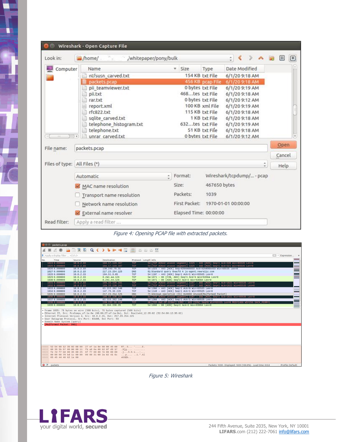| Look in:                     | /home/<br>/whitepaper/pony/bulk<br>$\mathbb{R}^n$  |  |                        |                                                                                                              | ÷.                                                 | ⊞<br>$\qquad \qquad \Box$ |  |  |
|------------------------------|----------------------------------------------------|--|------------------------|--------------------------------------------------------------------------------------------------------------|----------------------------------------------------|---------------------------|--|--|
| Computer                     | Name                                               |  | $v$ Size               | Type                                                                                                         | Date Modified                                      |                           |  |  |
|                              | ntfsusn carved.txt                                 |  |                        | 154 KB txt File                                                                                              | 6/1/20 9:18 AM                                     |                           |  |  |
|                              | packets.pcap                                       |  |                        |                                                                                                              | 456 KB pcap File 6/1/20 9:18 AM                    |                           |  |  |
|                              | pii_teamviewer.txt                                 |  | 0 bytes txt File       | 6/1/20 9:19 AM                                                                                               |                                                    |                           |  |  |
|                              | pii.txt                                            |  | 468tes txt File        |                                                                                                              | 6/1/20 9:18 AM                                     |                           |  |  |
|                              | rar.txt                                            |  |                        | 0 bytes txt File                                                                                             | 6/1/20 9:12 AM                                     |                           |  |  |
|                              | report.xml                                         |  |                        | 100 KB xml File<br>115 KB txt File<br>1 KB txt File<br>632tes txt File<br>51 KB txt File<br>0 bytes txt File | 6/1/20 9:19 AM<br>6/1/20 9:18 AM                   |                           |  |  |
|                              | rfc822.txt                                         |  |                        |                                                                                                              |                                                    |                           |  |  |
|                              | sqlite carved.txt                                  |  |                        |                                                                                                              | 6/1/20 9:18 AM                                     |                           |  |  |
|                              | telephone_histogram.txt                            |  |                        |                                                                                                              | 6/1/20 9:19 AM<br>6/1/20 9:18 AM<br>6/1/20 9:12 AM |                           |  |  |
| 141.                         | telephone.txt<br>unrar carved.txt<br>$\rightarrow$ |  |                        |                                                                                                              |                                                    |                           |  |  |
|                              |                                                    |  |                        |                                                                                                              |                                                    | Open                      |  |  |
| File name:                   | packets.pcap                                       |  |                        |                                                                                                              |                                                    |                           |  |  |
|                              |                                                    |  |                        |                                                                                                              |                                                    |                           |  |  |
| Files of type: All Files (*) |                                                    |  |                        |                                                                                                              | ٥                                                  | Help                      |  |  |
|                              | Automatic                                          |  | $\div$ Format:         |                                                                                                              | Wireshark/tcpdump/ - pcap                          |                           |  |  |
|                              | MAC name resolution                                |  | Size:                  | 467650 bytes                                                                                                 |                                                    |                           |  |  |
|                              | Transport name resolution                          |  | Packets:               |                                                                                                              |                                                    |                           |  |  |
|                              | Network name resolution                            |  |                        |                                                                                                              | First Packet: 1970-01-01 00:00:00                  |                           |  |  |
|                              | External name resolver                             |  | Elapsed Time: 00:00:00 |                                                                                                              |                                                    |                           |  |  |
| Read filter:                 | Apply a read filter                                |  |                        |                                                                                                              |                                                    |                           |  |  |

Figure 4: Opening PCAP file with extracted packets.

| <b>O</b> © packets.pcap                                      |                                                                                                                                                                      |                                                                                                                                             |                                                                                                                                                  |                                                                                                                                                     |                       |
|--------------------------------------------------------------|----------------------------------------------------------------------------------------------------------------------------------------------------------------------|---------------------------------------------------------------------------------------------------------------------------------------------|--------------------------------------------------------------------------------------------------------------------------------------------------|-----------------------------------------------------------------------------------------------------------------------------------------------------|-----------------------|
| $\circ$ $\circ$                                              |                                                                                                                                                                      | BBXCQく〉ใ⊩⊣∏∥©□◎Ⅲ                                                                                                                            |                                                                                                                                                  |                                                                                                                                                     |                       |
| $\blacksquare$ Apply a display filter  < Ctrl-/>             |                                                                                                                                                                      |                                                                                                                                             |                                                                                                                                                  |                                                                                                                                                     | $\Box$ * Expression + |
| No.<br>Time                                                  | Source                                                                                                                                                               | Destination                                                                                                                                 | Protocol Length Info                                                                                                                             |                                                                                                                                                     |                       |
| 1024 0.000000                                                | 10.0.2.15                                                                                                                                                            | 104.17.119.107                                                                                                                              | <b>TCP</b>                                                                                                                                       | 54 [TCP ACKed unseen segment] $1325 - 443$ [ACK] Seq=1 Ack=320 Win=65535 Len=0                                                                      | THE THEFT             |
| 1025 0.000000<br>1026 0.000000                               | 10.0.2.15<br>10.0.2.15                                                                                                                                               | 104.17.119.107<br>136, 243, 75, 31                                                                                                          | <b>TCP</b><br><b>TCP</b>                                                                                                                         | 54 [TCP ACKed unseen segment] $1325 - 443$ [ACK] Seq=1 Ack=321 Win=65535 Len=0<br>54 1323 → 443 [ACK] Seq=4294966033 Ack=4294965453 Win=65535 Len=0 |                       |
| 1027 0.000000                                                | 10.0.2.15                                                                                                                                                            | 217.23.254.125                                                                                                                              | <b>DNS</b>                                                                                                                                       | 81 Standard query 0xacfd A js-agent.newrelic.com                                                                                                    |                       |
| 1028 0.000000                                                | 10.0.2.15                                                                                                                                                            | 184.51.9.85                                                                                                                                 | <b>TCP</b>                                                                                                                                       | 54 1107 → 443 [ACK] Seq=1 Ack=1 Win=65535 Len=0                                                                                                     |                       |
| 1029 0.000000                                                | 10.0.2.15                                                                                                                                                            | 8.241.44.126                                                                                                                                | <b>TCP</b>                                                                                                                                       | 54 1071 - 80 [FIN, ACK] Seq=1 Ack=1 Win=63564 Len=0                                                                                                 |                       |
| 1030 0.000000<br>1031 0.000000                               | 10.0.2.15<br>10.0.2.15                                                                                                                                               | 8.241.44.126<br>185, 33, 220, 241                                                                                                           | <b>TCP</b><br>TCP                                                                                                                                | $54 1071 - 80$ [ACK] Seq=2 Ack=2 Win=63564 Len=0<br>54 [TCP ACKed unseen segment] $1187 - 443$ [ACK] Seq=1 Ack=1021 Win=65535 Len=0                 |                       |
| 1032 0.000000                                                | 10.0.2.15                                                                                                                                                            | 185.33.220.241                                                                                                                              | <b>TCP</b>                                                                                                                                       | 54 [TCP ACKed unseen segment] 1187 - 443 [ACK] Seg=1 Ack=1022 Win=65535 Len=0                                                                       |                       |
| 1033 0.000000                                                | 10.0.2.15                                                                                                                                                            | 63.215.202.140                                                                                                                              | <b>TCP</b>                                                                                                                                       | 54 1366 → 443 [ACK] Seq=1 Ack=0 Win=65535 Len=0                                                                                                     |                       |
| 1034 0.000000<br>1035 0.000000                               | 10.0.2.15<br>10.0.2.15                                                                                                                                               | 147.75.33.229<br>217.23.254.125                                                                                                             | <b>TCP</b><br><b>DNS</b>                                                                                                                         | 54 1148 - 443 [ACK] Seq=1 Ack=1 Win=65535 Len=0<br>71 Unknown operation (15) 0x0080 Unused[Malformed Packet]                                        |                       |
| 1036 0.000000                                                | 10.0.2.15                                                                                                                                                            | 185.33.220.241                                                                                                                              | <b>TCP</b>                                                                                                                                       | 54 [TCP ACKed unseen segment] $1187 - 443$ [ACK] Seg=1 Ack=1021 Win=65535 Len=0                                                                     | $\equiv$              |
| 1037 0.000000                                                | 10.0.2.15                                                                                                                                                            | 63.215.202.140                                                                                                                              | <b>TCP</b>                                                                                                                                       | 54 1366 → 443 [ACK] Seq=1 Ack=1 Win=65535 Len=0                                                                                                     |                       |
| 1038 0.000000                                                | 10.0.2.15                                                                                                                                                            | 199.232.18.110                                                                                                                              | <b>TCP</b>                                                                                                                                       | 66 TCP 0ut-0f-0rder] 1392 → 443 [SYN] Seq=0 Win=65535 Len=0 MSS=1460 WS=256 SACK_PERM=1                                                             | Ì                     |
| 1039 0.000000                                                | 10.0.2.15                                                                                                                                                            | 93.184.220.29                                                                                                                               | <b>TCP</b>                                                                                                                                       | $54 1066 \rightarrow 80$ [ACK] Seq=1 Ack=1 Win=63864 Len=0                                                                                          |                       |
| ▶ Domain Name System (query)<br>▶ [Malformed Packet: DNS]    | User Datagram Protocol, Src Port: 63408, Dst Port: 53                                                                                                                | Frame 1035: 71 bytes on wire (568 bits), 71 bytes captured (568 bits)<br>▶ Internet Protocol Version 4, Src: 10.0.2.15, Dst: 217.23.254.125 |                                                                                                                                                  | Ethernet II, Src: PcsCompu_ef:1a:8e (08:00:27:ef:1a:8e), Dst: RealtekU_12:35:02 (52:54:00:12:35:02)                                                 |                       |
|                                                              |                                                                                                                                                                      |                                                                                                                                             |                                                                                                                                                  |                                                                                                                                                     |                       |
| 0000<br>52 54 00 12 35 02 08 00<br>0040 65 45 44 40 62 1a 00 | 0010 00 39 5b 67 00 00 80 11 fb a8 0a 00 02 0f d9 17<br>0020 fe 7d f7 b0 00 35 00 25 6f f7 00 80 7e 00 00 00<br>0030 00 00 00 70 bd 1c 00 00 00 00 31 00 2a 02 41 6c | 27 ef 1a 8e 08 00 45 00<br>eED@b                                                                                                            | RT. .5. E.<br>.9 <sub>[q]<br/><math>\ldots</math> 5.% o. ~<br/><math></math> <math>D</math> <math></math> <math>1.*</math> <math>AI</math></sub> |                                                                                                                                                     |                       |
| ● Z packets                                                  |                                                                                                                                                                      |                                                                                                                                             |                                                                                                                                                  | Packets: 1039 - Displayed: 1039 (100.0%) - Load time: 0:0.8                                                                                         | Profile: Default      |

Figure 5: Wireshark